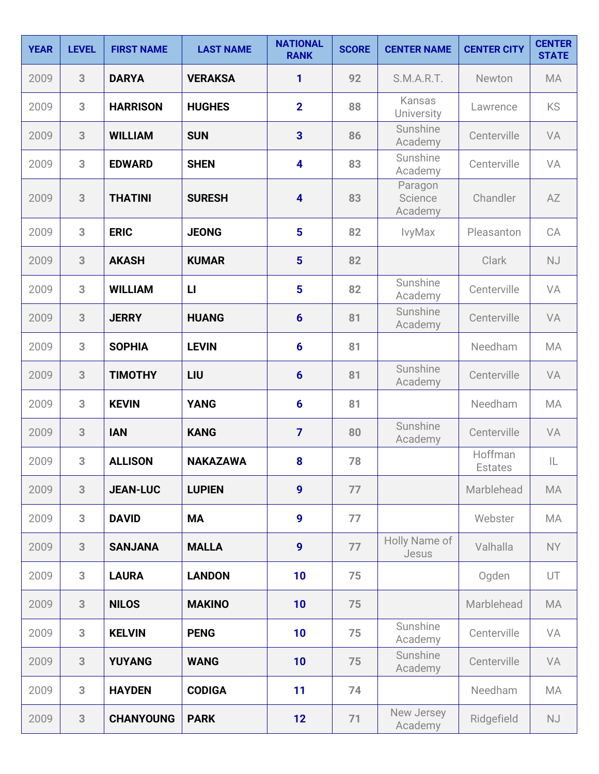| <b>YEAR</b> | <b>LEVEL</b> | <b>FIRST NAME</b> | <b>LAST NAME</b> | <b>NATIONAL</b><br><b>RANK</b> | <b>SCORE</b> | <b>CENTER NAME</b>            | <b>CENTER CITY</b>        | <b>CENTER</b><br><b>STATE</b> |
|-------------|--------------|-------------------|------------------|--------------------------------|--------------|-------------------------------|---------------------------|-------------------------------|
| 2009        | 3            | <b>DARYA</b>      | <b>VERAKSA</b>   | 1                              | 92           | S.M.A.R.T.                    | Newton                    | <b>MA</b>                     |
| 2009        | 3            | <b>HARRISON</b>   | <b>HUGHES</b>    | $\overline{2}$                 | 88           | Kansas<br>University          | Lawrence                  | <b>KS</b>                     |
| 2009        | 3            | <b>WILLIAM</b>    | <b>SUN</b>       | $\overline{\mathbf{3}}$        | 86           | Sunshine<br>Academy           | Centerville               | VA                            |
| 2009        | 3            | <b>EDWARD</b>     | <b>SHEN</b>      | $\overline{\mathbf{4}}$        | 83           | Sunshine<br>Academy           | Centerville               | VA                            |
| 2009        | 3            | <b>THATINI</b>    | <b>SURESH</b>    | $\overline{\mathbf{4}}$        | 83           | Paragon<br>Science<br>Academy | Chandler                  | AZ                            |
| 2009        | 3            | <b>ERIC</b>       | <b>JEONG</b>     | 5                              | 82           | IvyMax                        | Pleasanton                | CA                            |
| 2009        | 3            | <b>AKASH</b>      | <b>KUMAR</b>     | $5\phantom{1}$                 | 82           |                               | Clark                     | <b>NJ</b>                     |
| 2009        | 3            | <b>WILLIAM</b>    | $\mathbf{L}$     | 5                              | 82           | Sunshine<br>Academy           | Centerville               | VA                            |
| 2009        | 3            | <b>JERRY</b>      | <b>HUANG</b>     | $6\phantom{1}6$                | 81           | Sunshine<br>Academy           | Centerville               | VA                            |
| 2009        | 3            | <b>SOPHIA</b>     | <b>LEVIN</b>     | $6\phantom{1}6$                | 81           |                               | Needham                   | <b>MA</b>                     |
| 2009        | 3            | <b>TIMOTHY</b>    | LIU              | $6\phantom{1}6$                | 81           | Sunshine<br>Academy           | Centerville               | VA                            |
| 2009        | 3            | <b>KEVIN</b>      | <b>YANG</b>      | $6\phantom{1}6$                | 81           |                               | Needham                   | <b>MA</b>                     |
| 2009        | 3            | <b>IAN</b>        | <b>KANG</b>      | $\overline{7}$                 | 80           | Sunshine<br>Academy           | Centerville               | VA                            |
| 2009        | 3            | <b>ALLISON</b>    | <b>NAKAZAWA</b>  | 8                              | 78           |                               | Hoffman<br><b>Estates</b> | IL                            |
| 2009        | 3            | <b>JEAN-LUC</b>   | <b>LUPIEN</b>    | $\boldsymbol{9}$               | 77           |                               | Marblehead                | MA                            |
| 2009        | 3            | <b>DAVID</b>      | <b>MA</b>        | $\boldsymbol{9}$               | 77           |                               | Webster                   | MA                            |
| 2009        | 3            | <b>SANJANA</b>    | <b>MALLA</b>     | $\boldsymbol{9}$               | 77           | Holly Name of<br>Jesus        | Valhalla                  | <b>NY</b>                     |
| 2009        | 3            | <b>LAURA</b>      | <b>LANDON</b>    | 10                             | 75           |                               | Ogden                     | UT                            |
| 2009        | 3            | <b>NILOS</b>      | <b>MAKINO</b>    | 10                             | 75           |                               | Marblehead                | MA                            |
| 2009        | 3            | <b>KELVIN</b>     | <b>PENG</b>      | 10                             | 75           | Sunshine<br>Academy           | Centerville               | VA                            |
| 2009        | 3            | <b>YUYANG</b>     | <b>WANG</b>      | 10                             | 75           | Sunshine<br>Academy           | Centerville               | VA                            |
| 2009        | 3            | <b>HAYDEN</b>     | <b>CODIGA</b>    | 11                             | 74           |                               | Needham                   | MA                            |
| 2009        | 3            | <b>CHANYOUNG</b>  | <b>PARK</b>      | 12                             | 71           | New Jersey<br>Academy         | Ridgefield                | NJ                            |